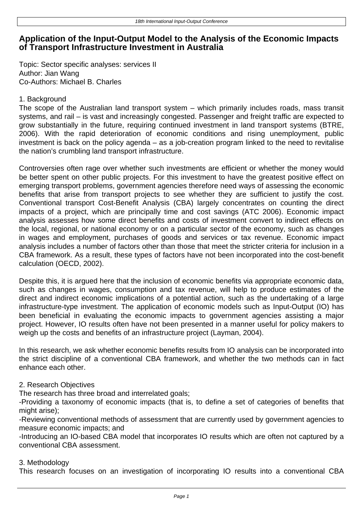# **Application of the Input-Output Model to the Analysis of the Economic Impacts of Transport Infrastructure Investment in Australia**

Topic: Sector specific analyses: services II Author: Jian Wang Co-Authors: Michael B. Charles

## 1. Background

The scope of the Australian land transport system – which primarily includes roads, mass transit systems, and rail – is vast and increasingly congested. Passenger and freight traffic are expected to grow substantially in the future, requiring continued investment in land transport systems (BTRE, 2006). With the rapid deterioration of economic conditions and rising unemployment, public investment is back on the policy agenda – as a job-creation program linked to the need to revitalise the nation's crumbling land transport infrastructure.

Controversies often rage over whether such investments are efficient or whether the money would be better spent on other public projects. For this investment to have the greatest positive effect on emerging transport problems, government agencies therefore need ways of assessing the economic benefits that arise from transport projects to see whether they are sufficient to justify the cost. Conventional transport Cost-Benefit Analysis (CBA) largely concentrates on counting the direct impacts of a project, which are principally time and cost savings (ATC 2006). Economic impact analysis assesses how some direct benefits and costs of investment convert to indirect effects on the local, regional, or national economy or on a particular sector of the economy, such as changes in wages and employment, purchases of goods and services or tax revenue. Economic impact analysis includes a number of factors other than those that meet the stricter criteria for inclusion in a CBA framework. As a result, these types of factors have not been incorporated into the cost-benefit calculation (OECD, 2002).

Despite this, it is argued here that the inclusion of economic benefits via appropriate economic data, such as changes in wages, consumption and tax revenue, will help to produce estimates of the direct and indirect economic implications of a potential action, such as the undertaking of a large infrastructure-type investment. The application of economic models such as Input-Output (IO) has been beneficial in evaluating the economic impacts to government agencies assisting a major project. However, IO results often have not been presented in a manner useful for policy makers to weigh up the costs and benefits of an infrastructure project (Layman, 2004).

In this research, we ask whether economic benefits results from IO analysis can be incorporated into the strict discipline of a conventional CBA framework, and whether the two methods can in fact enhance each other.

## 2. Research Objectives

The research has three broad and interrelated goals;

-Providing a taxonomy of economic impacts (that is, to define a set of categories of benefits that might arise);

-Reviewing conventional methods of assessment that are currently used by government agencies to measure economic impacts; and

-Introducing an IO-based CBA model that incorporates IO results which are often not captured by a conventional CBA assessment.

### 3. Methodology

This research focuses on an investigation of incorporating IO results into a conventional CBA